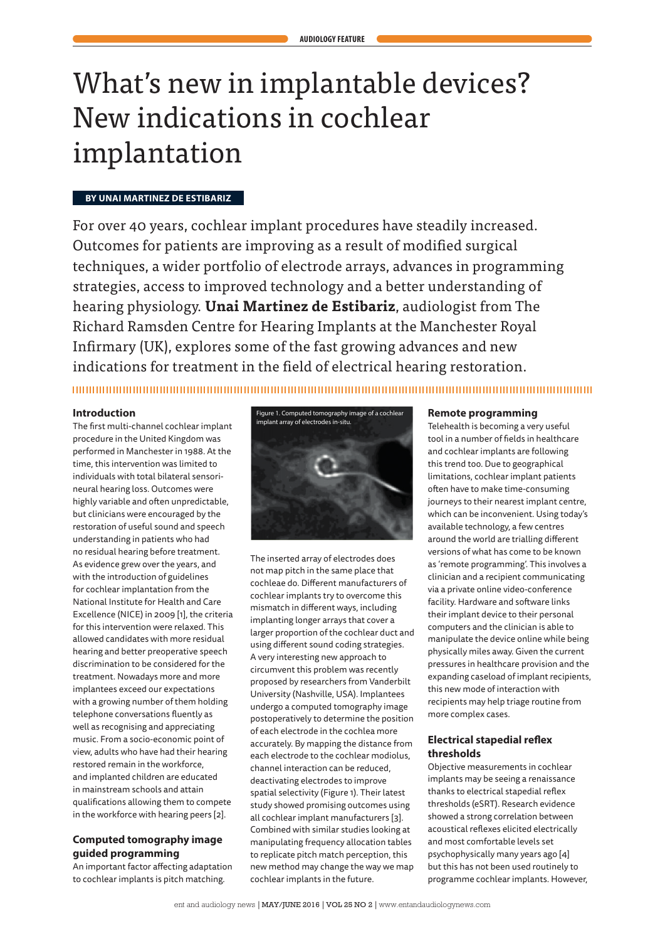# What's new in implantable devices? New indications in cochlear implantation

## **BY UNAI MARTINEZ DE ESTIBARIZ**

For over 40 years, cochlear implant procedures have steadily increased. Outcomes for patients are improving as a result of modified surgical techniques, a wider portfolio of electrode arrays, advances in programming strategies, access to improved technology and a better understanding of hearing physiology. **Unai Martinez de Estibariz**, audiologist from The Richard Ramsden Centre for Hearing Implants at the Manchester Royal Infirmary (UK), explores some of the fast growing advances and new indications for treatment in the field of electrical hearing restoration.

### **Introduction**

The first multi-channel cochlear implant procedure in the United Kingdom was performed in Manchester in 1988. At the time, this intervention was limited to individuals with total bilateral sensorineural hearing loss. Outcomes were highly variable and often unpredictable, but clinicians were encouraged by the restoration of useful sound and speech understanding in patients who had no residual hearing before treatment. As evidence grew over the years, and with the introduction of guidelines for cochlear implantation from the National Institute for Health and Care Excellence (NICE) in 2009 [1], the criteria for this intervention were relaxed. This allowed candidates with more residual hearing and better preoperative speech discrimination to be considered for the treatment. Nowadays more and more implantees exceed our expectations with a growing number of them holding telephone conversations fluently as well as recognising and appreciating music. From a socio-economic point of view, adults who have had their hearing restored remain in the workforce, and implanted children are educated in mainstream schools and attain qualifications allowing them to compete in the workforce with hearing peers [2].

# **Computed tomography image guided programming**

An important factor affecting adaptation to cochlear implants is pitch matching.



The inserted array of electrodes does not map pitch in the same place that cochleae do. Different manufacturers of cochlear implants try to overcome this mismatch in different ways, including implanting longer arrays that cover a larger proportion of the cochlear duct and using different sound coding strategies. A very interesting new approach to circumvent this problem was recently proposed by researchers from Vanderbilt University (Nashville, USA). Implantees undergo a computed tomography image postoperatively to determine the position of each electrode in the cochlea more accurately. By mapping the distance from each electrode to the cochlear modiolus, channel interaction can be reduced, deactivating electrodes to improve spatial selectivity (Figure 1). Their latest study showed promising outcomes using all cochlear implant manufacturers [3]. Combined with similar studies looking at manipulating frequency allocation tables to replicate pitch match perception, this new method may change the way we map cochlear implants in the future.

#### **Remote programming**

Telehealth is becoming a very useful tool in a number of fields in healthcare and cochlear implants are following this trend too. Due to geographical limitations, cochlear implant patients often have to make time-consuming journeys to their nearest implant centre, which can be inconvenient. Using today's available technology, a few centres around the world are trialling different versions of what has come to be known as 'remote programming'. This involves a clinician and a recipient communicating via a private online video-conference facility. Hardware and software links their implant device to their personal computers and the clinician is able to manipulate the device online while being physically miles away. Given the current pressures in healthcare provision and the expanding caseload of implant recipients, this new mode of interaction with recipients may help triage routine from more complex cases.

## **Electrical stapedial reflex thresholds**

Objective measurements in cochlear implants may be seeing a renaissance thanks to electrical stapedial reflex thresholds (eSRT). Research evidence showed a strong correlation between acoustical reflexes elicited electrically and most comfortable levels set psychophysically many years ago [4] but this has not been used routinely to programme cochlear implants. However,